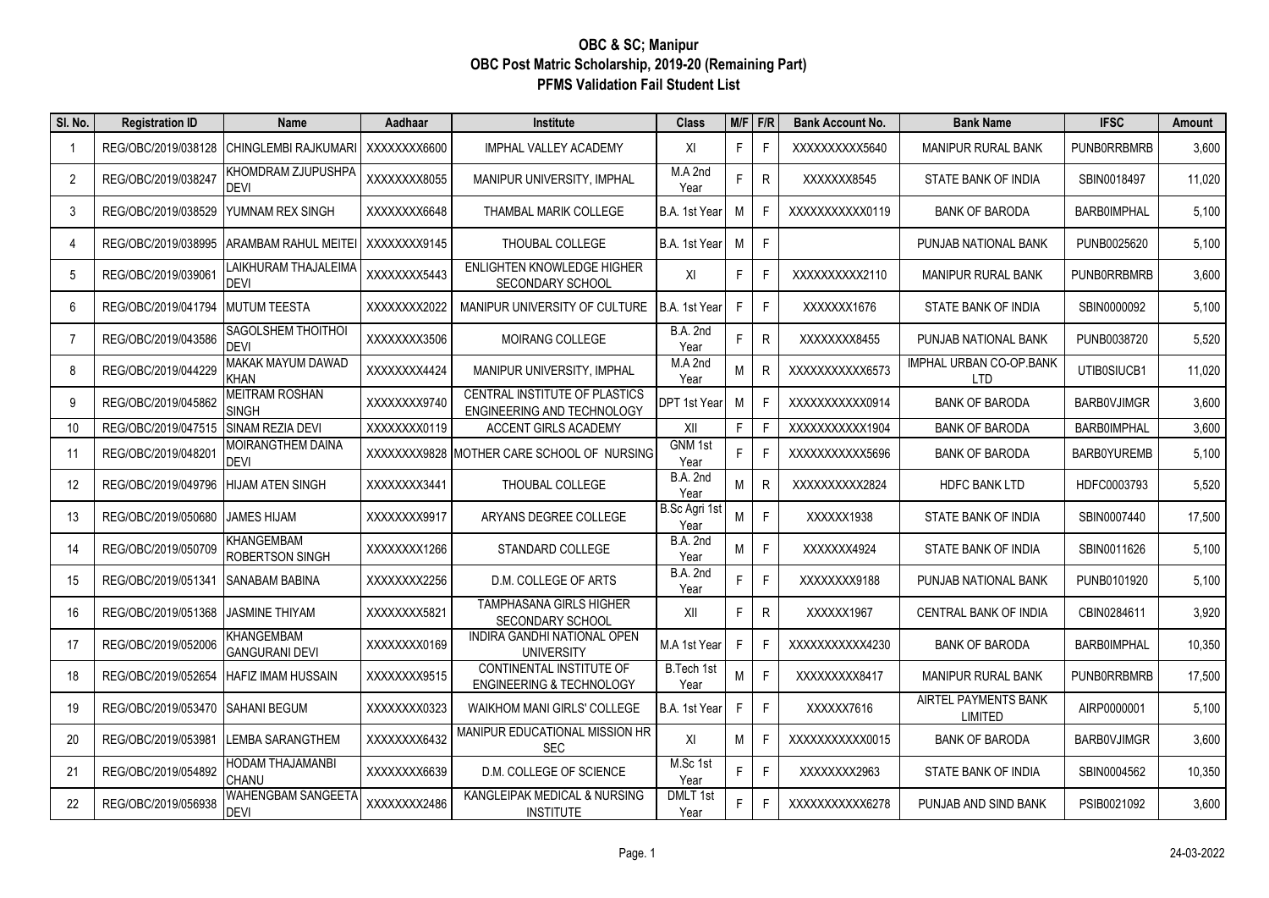## **OBC & SC; Manipur OBC Post Matric Scholarship, 2019-20 (Remaining Part) PFMS Validation Fail Student List**

| SI. No. | <b>Registration ID</b> | Name                                  | Aadhaar      | Institute                                                       | <b>Class</b>            | $M/F$ F/R |              | <b>Bank Account No.</b> | <b>Bank Name</b>                             | <b>IFSC</b>        | Amount |
|---------|------------------------|---------------------------------------|--------------|-----------------------------------------------------------------|-------------------------|-----------|--------------|-------------------------|----------------------------------------------|--------------------|--------|
| -1      | REG/OBC/2019/038128    | CHINGLEMBI RAJKUMARI   XXXXXXXX6600   |              | <b>IMPHAL VALLEY ACADEMY</b>                                    | XI                      | F.        | F            | XXXXXXXXX5640           | <b>MANIPUR RURAL BANK</b>                    | PUNB0RRBMRB        | 3,600  |
| 2       | REG/OBC/2019/038247    | KHOMDRAM ZJUPUSHPA<br><b>DEVI</b>     | XXXXXXX8055  | MANIPUR UNIVERSITY, IMPHAL                                      | M.A 2nd<br>Year         | F.        | R            | XXXXXX8545              | STATE BANK OF INDIA                          | SBIN0018497        | 11,020 |
| 3       | REG/OBC/2019/038529    | YUMNAM REX SINGH                      | XXXXXXX6648  | THAMBAL MARIK COLLEGE                                           | B.A. 1st Year           | М         | F            | XXXXXXXXXX0119          | <b>BANK OF BARODA</b>                        | <b>BARB0IMPHAL</b> | 5,100  |
| 4       | REG/OBC/2019/038995    | ARAMBAM RAHUL MEITEI   XXXXXXXX9145   |              | THOUBAL COLLEGE                                                 | B.A. 1st Year           | M         | F            |                         | PUNJAB NATIONAL BANK                         | PUNB0025620        | 5,100  |
| 5       | REG/OBC/2019/03906     | LAIKHURAM THAJALEIMA<br>DEVI          | XXXXXXX5443  | ENLIGHTEN KNOWLEDGE HIGHER<br><b>SECONDARY SCHOOL</b>           | XI                      | F.        | E            | XXXXXXXXX2110           | <b>MANIPUR RURAL BANK</b>                    | <b>PUNBORRBMRB</b> | 3,600  |
| 6       | REG/OBC/2019/041794    | <b>MUTUM TEESTA</b>                   | XXXXXXX2022  | MANIPUR UNIVERSITY OF CULTURE                                   | B.A. 1st Year           | F.        | F            | XXXXXX1676              | STATE BANK OF INDIA                          | SBIN0000092        | 5,100  |
| 7       | REG/OBC/2019/043586    | SAGOLSHEM THOITHOI<br>DEVI            | XXXXXXXX3506 | MOIRANG COLLEGE                                                 | <b>B.A. 2nd</b><br>Year | F.        | $\mathsf{R}$ | XXXXXXX8455             | PUNJAB NATIONAL BANK                         | PUNB0038720        | 5,520  |
| 8       | REG/OBC/2019/044229    | MAKAK MAYUM DAWAD<br>KHAN             | XXXXXXX4424  | MANIPUR UNIVERSITY, IMPHAL                                      | M.A 2nd<br>Year         | М         | $\mathsf{R}$ | XXXXXXXXXX6573          | <b>IMPHAL URBAN CO-OP.BANK</b><br><b>LTD</b> | UTIB0SIUCB1        | 11,020 |
| 9       | REG/OBC/2019/045862    | <b>MEITRAM ROSHAN</b><br><b>SINGH</b> | XXXXXXX9740  | CENTRAL INSTITUTE OF PLASTICS<br>ENGINEERING AND TECHNOLOGY     | <b>DPT 1st Year</b>     | М         | F            | XXXXXXXXXXX0914         | <b>BANK OF BARODA</b>                        | <b>BARBOVJIMGR</b> | 3.600  |
| 10      | REG/OBC/2019/047515    | SINAM REZIA DEVI                      | XXXXXXX0119  | ACCENT GIRLS ACADEMY                                            | XII                     | F         | F            | XXXXXXXXXX1904          | <b>BANK OF BARODA</b>                        | <b>BARB0IMPHAL</b> | 3,600  |
| 11      | REG/OBC/2019/04820     | MOIRANGTHEM DAINA<br>DEVI             |              | XXXXXXX9828 MOTHER CARE SCHOOL OF NURSING                       | GNM 1st<br>Year         | F         | E            | XXXXXXXXXX5696          | <b>BANK OF BARODA</b>                        | BARB0YUREMB        | 5,100  |
| 12      | REG/OBC/2019/049796    | HIJAM ATEN SINGH                      | XXXXXXX3441  | THOUBAL COLLEGE                                                 | <b>B.A. 2nd</b><br>Year | M         | R            | XXXXXXXXX2824           | <b>HDFC BANK LTD</b>                         | HDFC0003793        | 5,520  |
| 13      | REG/OBC/2019/050680    | JAMES HIJAM                           | XXXXXXXX9917 | ARYANS DEGREE COLLEGE                                           | B.Sc Agri 1st<br>Year   | M         | F            | XXXXXX1938              | STATE BANK OF INDIA                          | SBIN0007440        | 17,500 |
| 14      | REG/OBC/2019/050709    | KHANGEMBAM<br>ROBERTSON SINGH         | XXXXXXX1266  | STANDARD COLLEGE                                                | <b>B.A. 2nd</b><br>Year | M         | F            | XXXXXX4924              | STATE BANK OF INDIA                          | SBIN0011626        | 5,100  |
| 15      | REG/OBC/2019/051341    | <b>SANABAM BABINA</b>                 | XXXXXXX2256  | D.M. COLLEGE OF ARTS                                            | <b>B.A. 2nd</b><br>Year | F         | F            | XXXXXXX9188             | PUNJAB NATIONAL BANK                         | PUNB0101920        | 5,100  |
| 16      | REG/OBC/2019/051368    | <b>JASMINE THIYAM</b>                 | XXXXXXX5821  | <b>TAMPHASANA GIRLS HIGHER</b><br>SECONDARY SCHOOL              | XII                     | F.        | R            | XXXXXX1967              | <b>CENTRAL BANK OF INDIA</b>                 | CBIN0284611        | 3,920  |
| 17      | REG/OBC/2019/052006    | KHANGEMBAM<br><b>GANGURANI DEVI</b>   | XXXXXXX0169  | INDIRA GANDHI NATIONAL OPEN<br><b>UNIVERSITY</b>                | M.A 1st Year            | F         | E            | XXXXXXXXXX4230          | <b>BANK OF BARODA</b>                        | <b>BARB0IMPHAL</b> | 10,350 |
| 18      | REG/OBC/2019/052654    | <b>HAFIZ IMAM HUSSAIN</b>             | XXXXXXX9515  | CONTINENTAL INSTITUTE OF<br><b>ENGINEERING &amp; TECHNOLOGY</b> | B.Tech 1st<br>Year      | M         | F            | XXXXXXXXX8417           | <b>MANIPUR RURAL BANK</b>                    | <b>PUNBORRBMRB</b> | 17,500 |
| 19      | REG/OBC/2019/053470    | <b>SAHANI BEGUM</b>                   | XXXXXXX0323  | <b>WAIKHOM MANI GIRLS' COLLEGE</b>                              | B.A. 1st Year           | F.        | F            | XXXXX7616               | AIRTEL PAYMENTS BANK<br>LIMITED              | AIRP0000001        | 5,100  |
| 20      | REG/OBC/2019/053981    | LEMBA SARANGTHEM                      | XXXXXXX6432  | MANIPUR EDUCATIONAL MISSION HR<br><b>SEC</b>                    | XI                      | М         | F            | XXXXXXXXXXX0015         | <b>BANK OF BARODA</b>                        | <b>BARBOVJIMGR</b> | 3,600  |
| 21      | REG/OBC/2019/054892    | HODAM THAJAMANBI<br>CHANU             | XXXXXXX6639  | D.M. COLLEGE OF SCIENCE                                         | M.Sc 1st<br>Year        | F.        | F            | XXXXXXX2963             | STATE BANK OF INDIA                          | SBIN0004562        | 10,350 |
| 22      | REG/OBC/2019/056938    | WAHENGBAM SANGEETA<br><b>DEVI</b>     | XXXXXXX2486  | KANGLEIPAK MEDICAL & NURSING<br><b>INSTITUTE</b>                | DMLT 1st<br>Year        | F.        | E            | XXXXXXXXXX6278          | PUNJAB AND SIND BANK                         | PSIB0021092        | 3,600  |